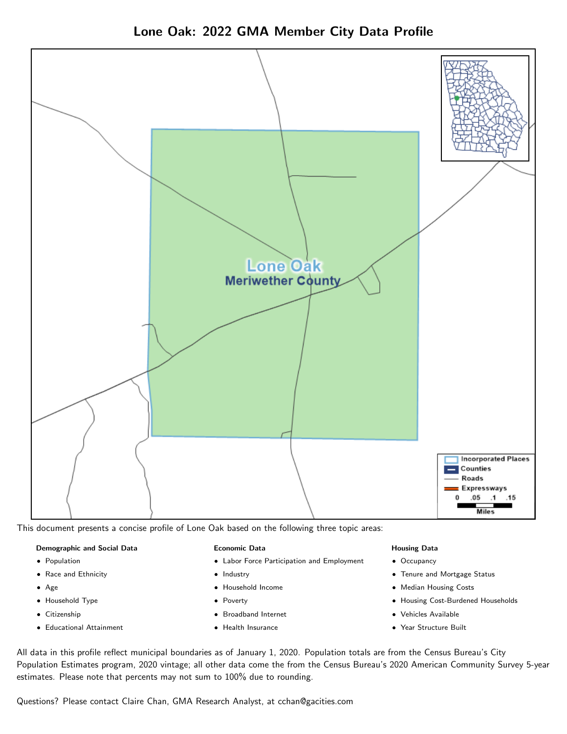



This document presents a concise profile of Lone Oak based on the following three topic areas:

# Demographic and Social Data

- **•** Population
- Race and Ethnicity
- Age
- Household Type
- **Citizenship**
- Educational Attainment

#### Economic Data

- Labor Force Participation and Employment
- Industry
- Household Income
- Poverty
- Broadband Internet
- Health Insurance

# Housing Data

- Occupancy
- Tenure and Mortgage Status
- Median Housing Costs
- Housing Cost-Burdened Households
- Vehicles Available
- Year Structure Built

All data in this profile reflect municipal boundaries as of January 1, 2020. Population totals are from the Census Bureau's City Population Estimates program, 2020 vintage; all other data come the from the Census Bureau's 2020 American Community Survey 5-year estimates. Please note that percents may not sum to 100% due to rounding.

Questions? Please contact Claire Chan, GMA Research Analyst, at [cchan@gacities.com.](mailto:cchan@gacities.com)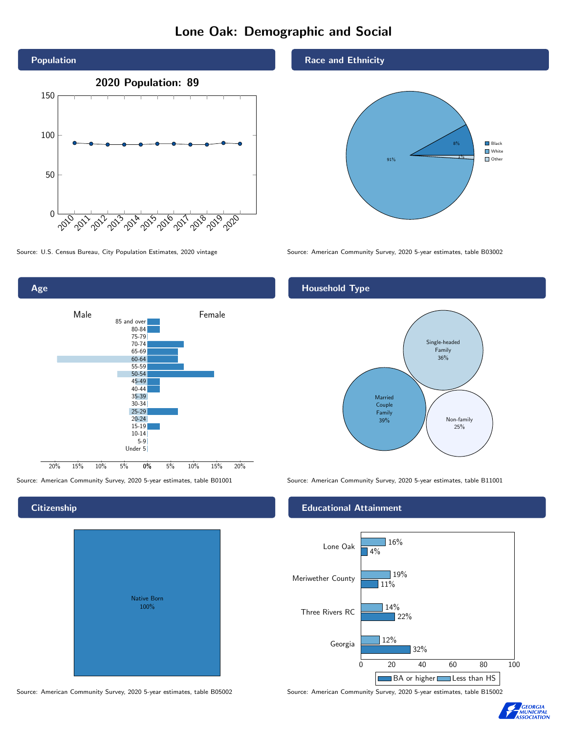# Lone Oak: Demographic and Social





# Native Born 100%

### Race and Ethnicity



Source: U.S. Census Bureau, City Population Estimates, 2020 vintage Source: American Community Survey, 2020 5-year estimates, table B03002

# Household Type



Source: American Community Survey, 2020 5-year estimates, table B01001 Source: American Community Survey, 2020 5-year estimates, table B11001

# Educational Attainment



Source: American Community Survey, 2020 5-year estimates, table B05002 Source: American Community Survey, 2020 5-year estimates, table B15002



**Citizenship**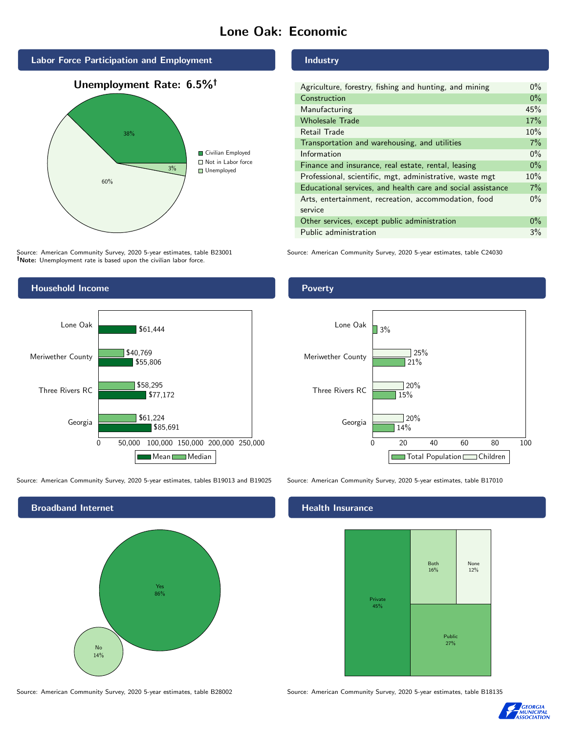# Lone Oak: Economic



Source: American Community Survey, 2020 5-year estimates, table B23001 Note: Unemployment rate is based upon the civilian labor force.



Source: American Community Survey, 2020 5-year estimates, tables B19013 and B19025 Source: American Community Survey, 2020 5-year estimates, table B17010



Industry

| Agriculture, forestry, fishing and hunting, and mining      | $0\%$ |
|-------------------------------------------------------------|-------|
| Construction                                                | $0\%$ |
| Manufacturing                                               | 45%   |
| <b>Wholesale Trade</b>                                      | 17%   |
| Retail Trade                                                | 10%   |
| Transportation and warehousing, and utilities               | 7%    |
| Information                                                 | $0\%$ |
| Finance and insurance, real estate, rental, leasing         | $0\%$ |
| Professional, scientific, mgt, administrative, waste mgt    | 10%   |
| Educational services, and health care and social assistance | 7%    |
| Arts, entertainment, recreation, accommodation, food        | $0\%$ |
| service                                                     |       |
| Other services, except public administration                | $0\%$ |
| Public administration                                       | 3%    |

Source: American Community Survey, 2020 5-year estimates, table C24030

# Poverty



# Health Insurance



Source: American Community Survey, 2020 5-year estimates, table B28002 Source: American Community Survey, 2020 5-year estimates, table B18135